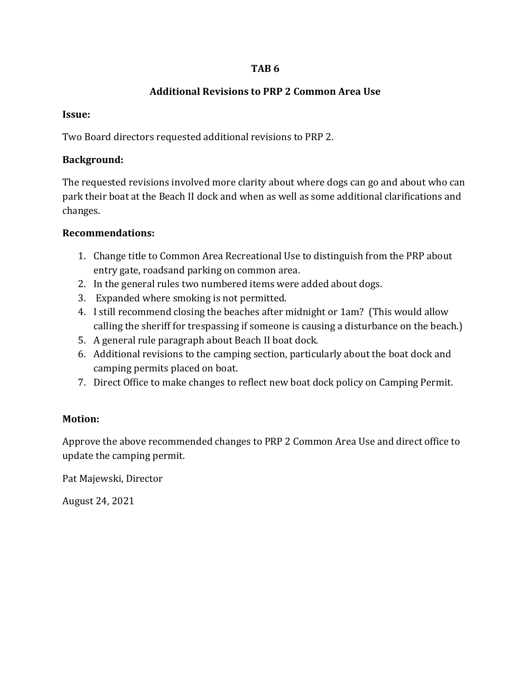#### **TAB 6**

#### **Additional Revisions to PRP 2 Common Area Use**

#### **Issue:**

Two Board directors requested additional revisions to PRP 2.

### **Background:**

The requested revisions involved more clarity about where dogs can go and about who can park their boat at the Beach II dock and when as well as some additional clarifications and changes.

### **Recommendations:**

- 1. Change title to Common Area Recreational Use to distinguish from the PRP about entry gate, roadsand parking on common area.
- 2. In the general rules two numbered items were added about dogs.
- 3. Expanded where smoking is not permitted.
- 4. I still recommend closing the beaches after midnight or 1am? (This would allow calling the sheriff for trespassing if someone is causing a disturbance on the beach.)
- 5. A general rule paragraph about Beach II boat dock.
- 6. Additional revisions to the camping section, particularly about the boat dock and camping permits placed on boat.
- 7. Direct Office to make changes to reflect new boat dock policy on Camping Permit.

## **Motion:**

Approve the above recommended changes to PRP 2 Common Area Use and direct office to update the camping permit.

Pat Majewski, Director

August 24, 2021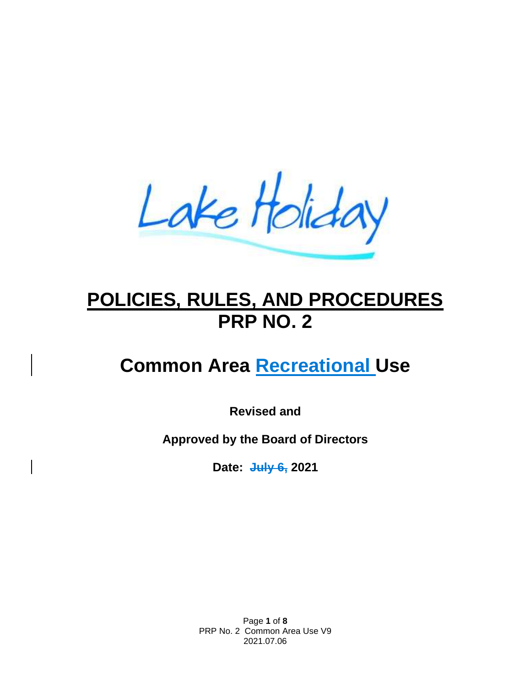Lake Holiday

# **POLICIES, RULES, AND PROCEDURES PRP NO. 2**

# **Common Area Recreational Use**

**Revised and**

**Approved by the Board of Directors**

**Date: July 6, 2021**

Page **1** of **8** PRP No. 2 Common Area Use V9 2021.07.06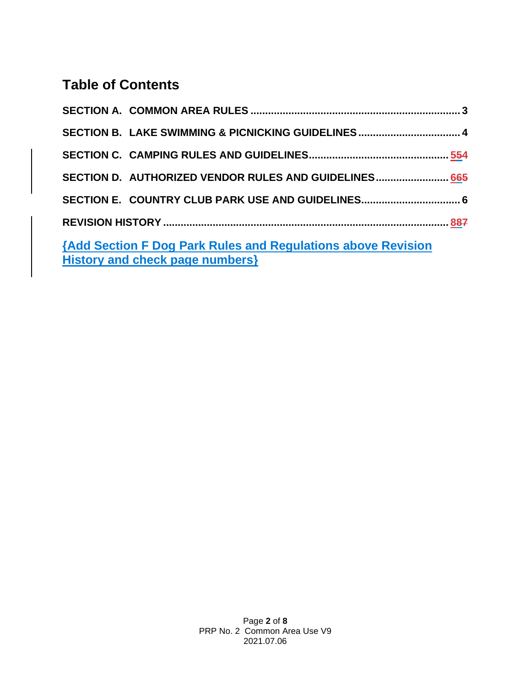# **Table of Contents**

| SECTION B. LAKE SWIMMING & PICNICKING GUIDELINES 4                  |  |  |  |  |
|---------------------------------------------------------------------|--|--|--|--|
|                                                                     |  |  |  |  |
| SECTION D. AUTHORIZED VENDOR RULES AND GUIDELINES 665               |  |  |  |  |
| SECTION E. COUNTRY CLUB PARK USE AND GUIDELINES 6                   |  |  |  |  |
|                                                                     |  |  |  |  |
| <b>{Add Section F Dog Park Rules and Regulations above Revision</b> |  |  |  |  |
| History and check page numbers}                                     |  |  |  |  |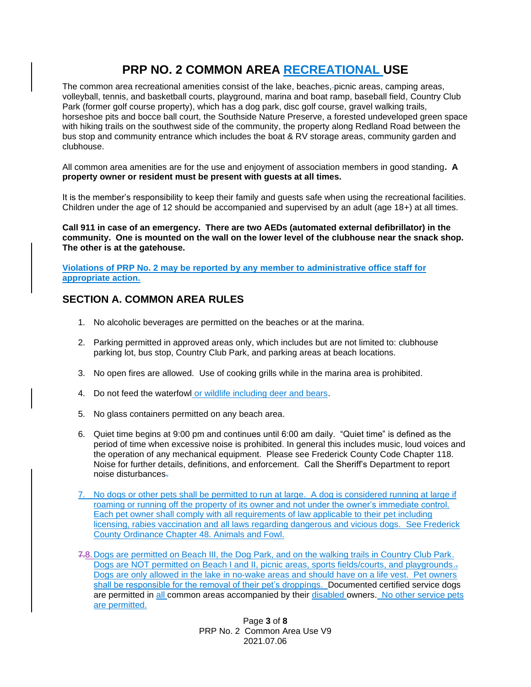# **PRP NO. 2 COMMON AREA RECREATIONAL USE**

The common area recreational amenities consist of the lake, beaches, picnic areas, camping areas, volleyball, tennis, and basketball courts, playground, marina and boat ramp, baseball field, Country Club Park (former golf course property), which has a dog park, disc golf course, gravel walking trails, horseshoe pits and bocce ball court, the Southside Nature Preserve, a forested undeveloped green space with hiking trails on the southwest side of the community, the property along Redland Road between the bus stop and community entrance which includes the boat & RV storage areas, community garden and clubhouse.

All common area amenities are for the use and enjoyment of association members in good standing**. A property owner or resident must be present with guests at all times.**

It is the member's responsibility to keep their family and guests safe when using the recreational facilities. Children under the age of 12 should be accompanied and supervised by an adult (age 18+) at all times.

**Call 911 in case of an emergency. There are two AEDs (automated external defibrillator) in the community. One is mounted on the wall on the lower level of the clubhouse near the snack shop. The other is at the gatehouse.**

**Violations of PRP No. 2 may be reported by any member to administrative office staff for appropriate action.** 

#### <span id="page-3-0"></span>**SECTION A. COMMON AREA RULES**

- 1. No alcoholic beverages are permitted on the beaches or at the marina.
- 2. Parking permitted in approved areas only, which includes but are not limited to: clubhouse parking lot, bus stop, Country Club Park, and parking areas at beach locations.
- 3. No open fires are allowed. Use of cooking grills while in the marina area is prohibited.
- 4. Do not feed the waterfowl or wildlife including deer and bears.
- 5. No glass containers permitted on any beach area.
- 6. Quiet time begins at 9:00 pm and continues until 6:00 am daily. "Quiet time" is defined as the period of time when excessive noise is prohibited. In general this includes music, loud voices and the operation of any mechanical equipment. Please see Frederick County Code Chapter 118. Noise for further details, definitions, and enforcement. Call the Sheriff's Department to report noise disturbances.
- 7. No dogs or other pets shall be permitted to run at large. A dog is considered running at large if roaming or running off the property of its owner and not under the owner's immediate control. Each pet owner shall comply with all requirements of law applicable to their pet including licensing, rabies vaccination and all laws regarding dangerous and vicious dogs. See Frederick County Ordinance Chapter 48. Animals and Fowl.
- 7.8.Dogs are permitted on Beach III, the Dog Park, and on the walking trails in Country Club Park. Dogs are NOT permitted on Beach I and II, picnic areas, sports fields/courts, and playgrounds. Dogs are only allowed in the lake in no-wake areas and should have on a life vest. Pet owners shall be responsible for the removal of their pet's droppings. Documented certified service dogs are permitted in all common areas accompanied by their disabled owners. No other service pets are permitted.

Page **3** of **8** PRP No. 2 Common Area Use V9 2021.07.06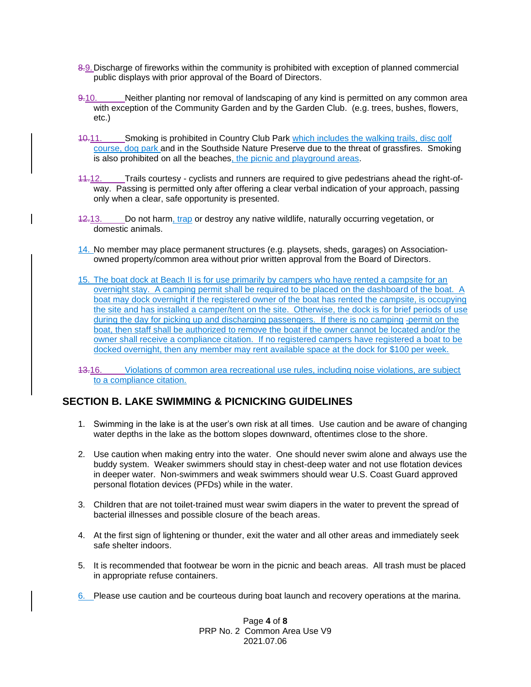- 8.9.Discharge of fireworks within the community is prohibited with exception of planned commercial public displays with prior approval of the Board of Directors.
- 9.10. Neither planting nor removal of landscaping of any kind is permitted on any common area with exception of the Community Garden and by the Garden Club. (e.g. trees, bushes, flowers, etc.)
- 10.11. Smoking is prohibited in Country Club Park which includes the walking trails, disc golf course, dog park and in the Southside Nature Preserve due to the threat of grassfires. Smoking is also prohibited on all the beaches, the picnic and playground areas.
- 11.12. Trails courtesy cyclists and runners are required to give pedestrians ahead the right-ofway. Passing is permitted only after offering a clear verbal indication of your approach, passing only when a clear, safe opportunity is presented.
- 12.13. Do not harm, trap or destroy any native wildlife, naturally occurring vegetation, or domestic animals.
- 14. No member may place permanent structures (e.g. playsets, sheds, garages) on Associationowned property/common area without prior written approval from the Board of Directors.
- 15. The boat dock at Beach II is for use primarily by campers who have rented a campsite for an overnight stay. A camping permit shall be required to be placed on the dashboard of the boat. A boat may dock overnight if the registered owner of the boat has rented the campsite, is occupying the site and has installed a camper/tent on the site. Otherwise, the dock is for brief periods of use during the day for picking up and discharging passengers. If there is no camping -permit on the boat, then staff shall be authorized to remove the boat if the owner cannot be located and/or the owner shall receive a compliance citation. If no registered campers have registered a boat to be docked overnight, then any member may rent available space at the dock for \$100 per week.
- 13.16. Violations of common area recreational use rules, including noise violations, are subject to a compliance citation.

#### <span id="page-4-0"></span>**SECTION B. LAKE SWIMMING & PICNICKING GUIDELINES**

- 1. Swimming in the lake is at the user's own risk at all times. Use caution and be aware of changing water depths in the lake as the bottom slopes downward, oftentimes close to the shore.
- 2. Use caution when making entry into the water. One should never swim alone and always use the buddy system. Weaker swimmers should stay in chest-deep water and not use flotation devices in deeper water. Non-swimmers and weak swimmers should wear U.S. Coast Guard approved personal flotation devices (PFDs) while in the water.
- 3. Children that are not toilet-trained must wear swim diapers in the water to prevent the spread of bacterial illnesses and possible closure of the beach areas.
- 4. At the first sign of lightening or thunder, exit the water and all other areas and immediately seek safe shelter indoors.
- 5. It is recommended that footwear be worn in the picnic and beach areas. All trash must be placed in appropriate refuse containers.
- 6. Please use caution and be courteous during boat launch and recovery operations at the marina.

Page **4** of **8** PRP No. 2 Common Area Use V9 2021.07.06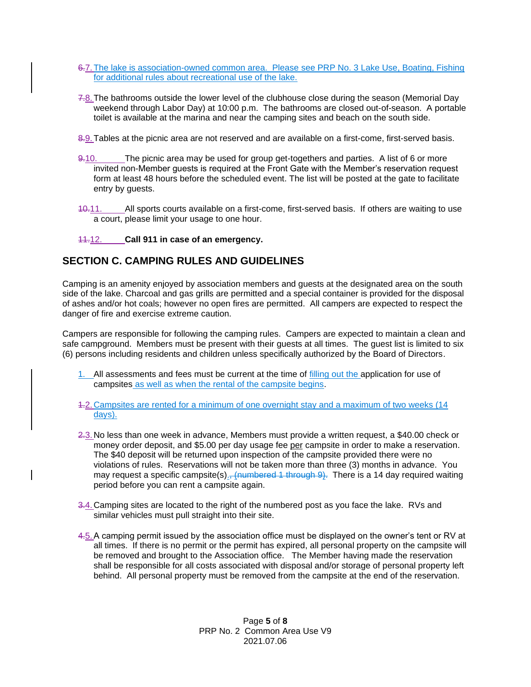- 6.7. The lake is association-owned common area. Please see PRP No. 3 Lake Use, Boating, Fishing for additional rules about recreational use of the lake.
- 7.8.The bathrooms outside the lower level of the clubhouse close during the season (Memorial Day weekend through Labor Day) at 10:00 p.m. The bathrooms are closed out-of-season. A portable toilet is available at the marina and near the camping sites and beach on the south side.
- 8.9.Tables at the picnic area are not reserved and are available on a first-come, first-served basis.
- 9-10. The picnic area may be used for group get-togethers and parties. A list of 6 or more invited non-Member guests is required at the Front Gate with the Member's reservation request form at least 48 hours before the scheduled event. The list will be posted at the gate to facilitate entry by guests.
- 40.11. All sports courts available on a first-come, first-served basis. If others are waiting to use a court, please limit your usage to one hour.

#### 11.12. **Call 911 in case of an emergency.**

#### <span id="page-5-0"></span>**SECTION C. CAMPING RULES AND GUIDELINES**

Camping is an amenity enjoyed by association members and guests at the designated area on the south side of the lake. Charcoal and gas grills are permitted and a special container is provided for the disposal of ashes and/or hot coals; however no open fires are permitted. All campers are expected to respect the danger of fire and exercise extreme caution.

Campers are responsible for following the camping rules. Campers are expected to maintain a clean and safe campground. Members must be present with their guests at all times. The guest list is limited to six (6) persons including residents and children unless specifically authorized by the Board of Directors.

- 1. All assessments and fees must be current at the time of filling out the application for use of campsites as well as when the rental of the campsite begins.
- 1.2.Campsites are rented for a minimum of one overnight stay and a maximum of two weeks (14 days).
- 2.3.No less than one week in advance, Members must provide a written request, a \$40.00 check or money order deposit, and \$5.00 per day usage fee per campsite in order to make a reservation. The \$40 deposit will be returned upon inspection of the campsite provided there were no violations of rules. Reservations will not be taken more than three (3) months in advance. You may request a specific campsite(s)<sub>-</sub>, (numbered 1 through  $9$ ). There is a 14 day required waiting period before you can rent a campsite again.
- 3.4. Camping sites are located to the right of the numbered post as you face the lake. RVs and similar vehicles must pull straight into their site.
- 4.5.A camping permit issued by the association office must be displayed on the owner's tent or RV at all times. If there is no permit or the permit has expired, all personal property on the campsite will be removed and brought to the Association office. The Member having made the reservation shall be responsible for all costs associated with disposal and/or storage of personal property left behind. All personal property must be removed from the campsite at the end of the reservation.

Page **5** of **8** PRP No. 2 Common Area Use V9 2021.07.06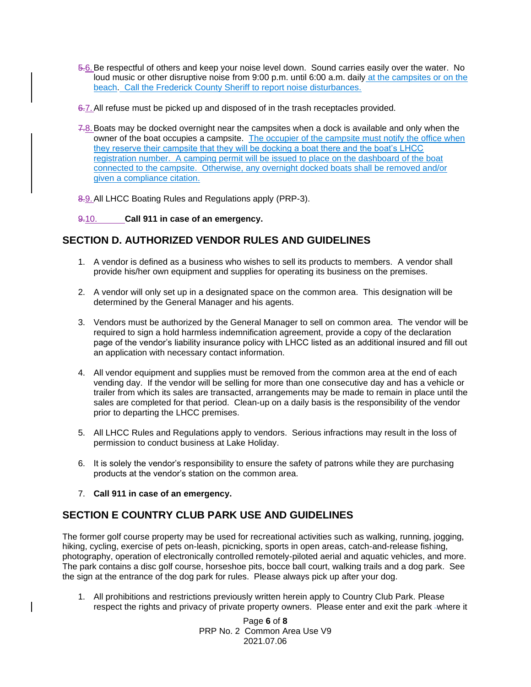- 5.6.Be respectful of others and keep your noise level down. Sound carries easily over the water. No loud music or other disruptive noise from 9:00 p.m. until 6:00 a.m. daily at the campsites or on the beach. Call the Frederick County Sheriff to report noise disturbances.
- 6.7.All refuse must be picked up and disposed of in the trash receptacles provided.
- 7.8. Boats may be docked overnight near the campsites when a dock is available and only when the owner of the boat occupies a campsite. The occupier of the campsite must notify the office when they reserve their campsite that they will be docking a boat there and the boat's LHCC registration number. A camping permit will be issued to place on the dashboard of the boat connected to the campsite. Otherwise, any overnight docked boats shall be removed and/or given a compliance citation.
- 8.9. All LHCC Boating Rules and Regulations apply (PRP-3).

#### 9.10. **Call 911 in case of an emergency.**

#### <span id="page-6-0"></span>**SECTION D. AUTHORIZED VENDOR RULES AND GUIDELINES**

- 1. A vendor is defined as a business who wishes to sell its products to members. A vendor shall provide his/her own equipment and supplies for operating its business on the premises.
- 2. A vendor will only set up in a designated space on the common area. This designation will be determined by the General Manager and his agents.
- 3. Vendors must be authorized by the General Manager to sell on common area. The vendor will be required to sign a hold harmless indemnification agreement, provide a copy of the declaration page of the vendor's liability insurance policy with LHCC listed as an additional insured and fill out an application with necessary contact information.
- 4. All vendor equipment and supplies must be removed from the common area at the end of each vending day. If the vendor will be selling for more than one consecutive day and has a vehicle or trailer from which its sales are transacted, arrangements may be made to remain in place until the sales are completed for that period. Clean-up on a daily basis is the responsibility of the vendor prior to departing the LHCC premises.
- 5. All LHCC Rules and Regulations apply to vendors. Serious infractions may result in the loss of permission to conduct business at Lake Holiday.
- 6. It is solely the vendor's responsibility to ensure the safety of patrons while they are purchasing products at the vendor's station on the common area.
- 7. **Call 911 in case of an emergency.**

#### <span id="page-6-1"></span>**SECTION E COUNTRY CLUB PARK USE AND GUIDELINES**

The former golf course property may be used for recreational activities such as walking, running, jogging, hiking, cycling, exercise of pets on-leash, picnicking, sports in open areas, catch-and-release fishing, photography, operation of electronically controlled remotely-piloted aerial and aquatic vehicles, and more. The park contains a disc golf course, horseshoe pits, bocce ball court, walking trails and a dog park. See the sign at the entrance of the dog park for rules. Please always pick up after your dog.

1. All prohibitions and restrictions previously written herein apply to Country Club Park. Please respect the rights and privacy of private property owners. Please enter and exit the park -where it

> Page **6** of **8** PRP No. 2 Common Area Use V9 2021.07.06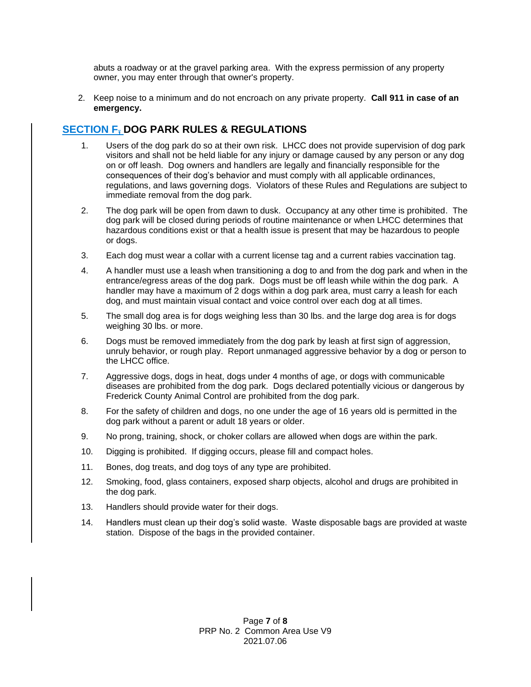abuts a roadway or at the gravel parking area. With the express permission of any property owner, you may enter through that owner's property.

2. Keep noise to a minimum and do not encroach on any private property. **Call 911 in case of an emergency.**

#### **SECTION F, DOG PARK RULES & REGULATIONS**

- 1. Users of the dog park do so at their own risk. LHCC does not provide supervision of dog park visitors and shall not be held liable for any injury or damage caused by any person or any dog on or off leash. Dog owners and handlers are legally and financially responsible for the consequences of their dog's behavior and must comply with all applicable ordinances, regulations, and laws governing dogs. Violators of these Rules and Regulations are subject to immediate removal from the dog park.
- 2. The dog park will be open from dawn to dusk. Occupancy at any other time is prohibited. The dog park will be closed during periods of routine maintenance or when LHCC determines that hazardous conditions exist or that a health issue is present that may be hazardous to people or dogs.
- 3. Each dog must wear a collar with a current license tag and a current rabies vaccination tag.
- 4. A handler must use a leash when transitioning a dog to and from the dog park and when in the entrance/egress areas of the dog park. Dogs must be off leash while within the dog park. A handler may have a maximum of 2 dogs within a dog park area, must carry a leash for each dog, and must maintain visual contact and voice control over each dog at all times.
- 5. The small dog area is for dogs weighing less than 30 lbs. and the large dog area is for dogs weighing 30 lbs. or more.
- 6. Dogs must be removed immediately from the dog park by leash at first sign of aggression, unruly behavior, or rough play. Report unmanaged aggressive behavior by a dog or person to the LHCC office.
- 7. Aggressive dogs, dogs in heat, dogs under 4 months of age, or dogs with communicable diseases are prohibited from the dog park. Dogs declared potentially vicious or dangerous by Frederick County Animal Control are prohibited from the dog park.
- 8. For the safety of children and dogs, no one under the age of 16 years old is permitted in the dog park without a parent or adult 18 years or older.
- 9. No prong, training, shock, or choker collars are allowed when dogs are within the park.
- 10. Digging is prohibited. If digging occurs, please fill and compact holes.
- 11. Bones, dog treats, and dog toys of any type are prohibited.
- 12. Smoking, food, glass containers, exposed sharp objects, alcohol and drugs are prohibited in the dog park.
- 13. Handlers should provide water for their dogs.
- 14. Handlers must clean up their dog's solid waste. Waste disposable bags are provided at waste station. Dispose of the bags in the provided container.

Page **7** of **8** PRP No. 2 Common Area Use V9 2021.07.06